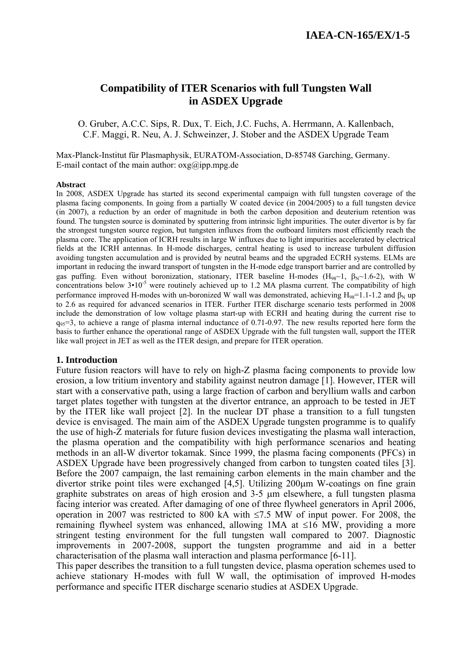# **Compatibility of ITER Scenarios with full Tungsten Wall in ASDEX Upgrade**

O. Gruber, A.C.C. Sips, R. Dux, T. Eich, J.C. Fuchs, A. Herrmann, A. Kallenbach, C.F. Maggi, R. Neu, A. J. Schweinzer, J. Stober and the ASDEX Upgrade Team

Max-Planck-Institut für Plasmaphysik, EURATOM-Association, D-85748 Garching, Germany. E-mail contact of the main author:  $oxg(\partial)$  ipp.mpg.de

#### **Abstract**

In 2008, ASDEX Upgrade has started its second experimental campaign with full tungsten coverage of the plasma facing components. In going from a partially W coated device (in 2004/2005) to a full tungsten device (in 2007), a reduction by an order of magnitude in both the carbon deposition and deuterium retention was found. The tungsten source is dominated by sputtering from intrinsic light impurities. The outer divertor is by far the strongest tungsten source region, but tungsten influxes from the outboard limiters most efficiently reach the plasma core. The application of ICRH results in large W influxes due to light impurities accelerated by electrical fields at the ICRH antennas. In H-mode discharges, central heating is used to increase turbulent diffusion avoiding tungsten accumulation and is provided by neutral beams and the upgraded ECRH systems. ELMs are important in reducing the inward transport of tungsten in the H-mode edge transport barrier and are controlled by gas puffing. Even without boronization, stationary, ITER baseline H-modes (H<sub>98</sub>~1,  $\beta_{N}$ ~1.6-2), with W concentrations below  $3 \cdot 10^{-5}$  were routinely achieved up to 1.2 MA plasma current. The compatibility of high performance improved H-modes with un-boronized W wall was demonstrated, achieving H<sub>98</sub>=1.1-1.2 and  $\beta_N$  up to 2.6 as required for advanced scenarios in ITER. Further ITER discharge scenario tests performed in 2008 include the demonstration of low voltage plasma start-up with ECRH and heating during the current rise to  $q_{95}=3$ , to achieve a range of plasma internal inductance of 0.71-0.97. The new results reported here form the basis to further enhance the operational range of ASDEX Upgrade with the full tungsten wall, support the ITER like wall project in JET as well as the ITER design, and prepare for ITER operation.

### **1. Introduction**

Future fusion reactors will have to rely on high-Z plasma facing components to provide low erosion, a low tritium inventory and stability against neutron damage [1]. However, ITER will start with a conservative path, using a large fraction of carbon and beryllium walls and carbon target plates together with tungsten at the divertor entrance, an approach to be tested in JET by the ITER like wall project [2]. In the nuclear DT phase a transition to a full tungsten device is envisaged. The main aim of the ASDEX Upgrade tungsten programme is to qualify the use of high-Z materials for future fusion devices investigating the plasma wall interaction, the plasma operation and the compatibility with high performance scenarios and heating methods in an all-W divertor tokamak. Since 1999, the plasma facing components (PFCs) in ASDEX Upgrade have been progressively changed from carbon to tungsten coated tiles [3]. Before the 2007 campaign, the last remaining carbon elements in the main chamber and the divertor strike point tiles were exchanged [4,5]. Utilizing 200μm W-coatings on fine grain graphite substrates on areas of high erosion and 3-5 μm elsewhere, a full tungsten plasma facing interior was created. After damaging of one of three flywheel generators in April 2006, operation in 2007 was restricted to 800 kA with ≤7.5 MW of input power. For 2008, the remaining flywheel system was enhanced, allowing 1MA at ≤16 MW, providing a more stringent testing environment for the full tungsten wall compared to 2007. Diagnostic improvements in 2007-2008, support the tungsten programme and aid in a better characterisation of the plasma wall interaction and plasma performance [6-11].

This paper describes the transition to a full tungsten device, plasma operation schemes used to achieve stationary H-modes with full W wall, the optimisation of improved H-modes performance and specific ITER discharge scenario studies at ASDEX Upgrade.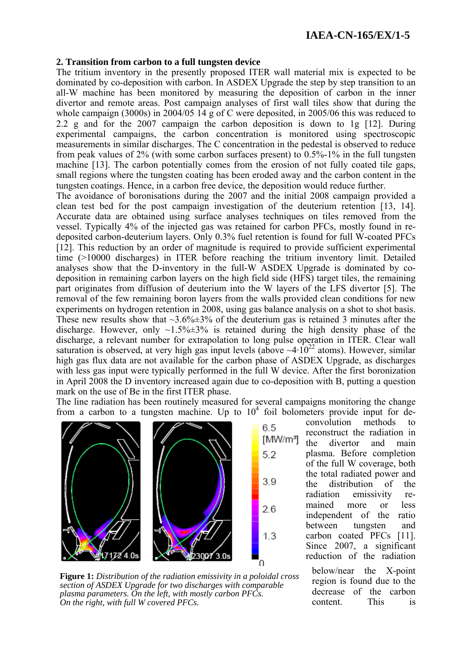## **2. Transition from carbon to a full tungsten device**

The tritium inventory in the presently proposed ITER wall material mix is expected to be dominated by co-deposition with carbon. In ASDEX Upgrade the step by step transition to an all-W machine has been monitored by measuring the deposition of carbon in the inner divertor and remote areas. Post campaign analyses of first wall tiles show that during the whole campaign (3000s) in 2004/05 14 g of C were deposited, in 2005/06 this was reduced to 2.2 g and for the 2007 campaign the carbon deposition is down to 1g [12]. During experimental campaigns, the carbon concentration is monitored using spectroscopic measurements in similar discharges. The C concentration in the pedestal is observed to reduce from peak values of 2% (with some carbon surfaces present) to 0.5%-1% in the full tungsten machine [13]. The carbon potentially comes from the erosion of not fully coated tile gaps, small regions where the tungsten coating has been eroded away and the carbon content in the tungsten coatings. Hence, in a carbon free device, the deposition would reduce further.

The avoidance of boronisations during the 2007 and the initial 2008 campaign provided a clean test bed for the post campaign investigation of the deuterium retention [13, 14]. Accurate data are obtained using surface analyses techniques on tiles removed from the vessel. Typically 4% of the injected gas was retained for carbon PFCs, mostly found in redeposited carbon-deuterium layers. Only 0.3% fuel retention is found for full W-coated PFCs [12]. This reduction by an order of magnitude is required to provide sufficient experimental time (>10000 discharges) in ITER before reaching the tritium inventory limit. Detailed analyses show that the D-inventory in the full-W ASDEX Upgrade is dominated by codeposition in remaining carbon layers on the high field side (HFS) target tiles, the remaining part originates from diffusion of deuterium into the W layers of the LFS divertor [5]. The removal of the few remaining boron layers from the walls provided clean conditions for new experiments on hydrogen retention in 2008, using gas balance analysis on a shot to shot basis. These new results show that  $\sim$ 3.6% $\pm$ 3% of the deuterium gas is retained 3 minutes after the discharge. However, only  $\sim 1.5\% \pm 3\%$  is retained during the high density phase of the discharge, a relevant number for extrapolation to long pulse operation in ITER. Clear wall saturation is observed, at very high gas input levels (above  $\sim$ 4·10<sup>22</sup> atoms). However, similar high gas flux data are not available for the carbon phase of ASDEX Upgrade, as discharges with less gas input were typically performed in the full W device. After the first boronization in April 2008 the D inventory increased again due to co-deposition with B, putting a question mark on the use of Be in the first ITER phase.

The line radiation has been routinely measured for several campaigns monitoring the change from a carbon to a tungsten machine. Up to  $10<sup>4</sup>$  foil bolometers provide input for de-

6.5

 $5.2$ 

39

26

 $1.3$ 

Ó



convolution methods to reconstruct the radiation in [MW/m<sup>3</sup>] the divertor and main plasma. Before completion of the full W coverage, both the total radiated power and the distribution of the radiation emissivity remained more or less independent of the ratio between tungsten and carbon coated PFCs [11]. Since 2007, a significant reduction of the radiation

below/near the X-point region is found due to the decrease of the carbon content. This is

**Figure 1:** *Distribution of the radiation emissivity in a poloidal cross section of ASDEX Upgrade for two discharges with comparable plasma parameters. On the left, with mostly carbon PFCs. On the right, with full W covered PFCs.*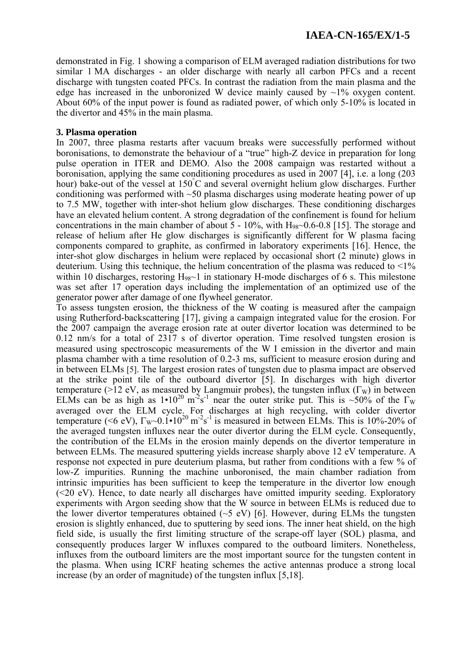demonstrated in Fig. 1 showing a comparison of ELM averaged radiation distributions for two similar 1 MA discharges - an older discharge with nearly all carbon PFCs and a recent discharge with tungsten coated PFCs. In contrast the radiation from the main plasma and the edge has increased in the unboronized W device mainly caused by  $\sim$ 1% oxygen content. About 60% of the input power is found as radiated power, of which only 5-10% is located in the divertor and 45% in the main plasma.

### **3. Plasma operation**

In 2007, three plasma restarts after vacuum breaks were successfully performed without boronisations, to demonstrate the behaviour of a "true" high-Z device in preparation for long pulse operation in ITER and DEMO. Also the 2008 campaign was restarted without a boronisation, applying the same conditioning procedures as used in 2007 [4], i.e. a long (203 hour) bake-out of the vessel at 150°C and several overnight helium glow discharges. Further conditioning was performed with ~50 plasma discharges using moderate heating power of up to 7.5 MW, together with inter-shot helium glow discharges. These conditioning discharges have an elevated helium content. A strong degradation of the confinement is found for helium concentrations in the main chamber of about  $5 - 10\%$ , with  $H_{98}$  $\sim$ 0.6-0.8 [15]. The storage and release of helium after He glow discharges is significantly different for W plasma facing components compared to graphite, as confirmed in laboratory experiments [16]. Hence, the inter-shot glow discharges in helium were replaced by occasional short (2 minute) glows in deuterium. Using this technique, the helium concentration of the plasma was reduced to  $\leq 1\%$ within 10 discharges, restoring  $H_{98}$ ~1 in stationary H-mode discharges of 6 s. This milestone was set after 17 operation days including the implementation of an optimized use of the generator power after damage of one flywheel generator.

To assess tungsten erosion, the thickness of the W coating is measured after the campaign using Rutherford-backscattering [17], giving a campaign integrated value for the erosion. For the 2007 campaign the average erosion rate at outer divertor location was determined to be 0.12 nm/s for a total of 2317 s of divertor operation. Time resolved tungsten erosion is measured using spectroscopic measurements of the W I emission in the divertor and main plasma chamber with a time resolution of 0.2-3 ms, sufficient to measure erosion during and in between ELMs [5]. The largest erosion rates of tungsten due to plasma impact are observed at the strike point tile of the outboard divertor [5]. In discharges with high divertor temperature (>12 eV, as measured by Langmuir probes), the tungsten influx  $(\Gamma_W)$  in between ELMs can be as high as  $1 \cdot 10^{20}$  m<sup>-2</sup>s<sup>-1</sup> near the outer strike put. This is ~50% of the  $\Gamma_{W}$ averaged over the ELM cycle. For discharges at high recycling, with colder divertor temperature (<6 eV),  $\Gamma_{\text{W}}$  -0.1 $\cdot$ 10<sup>20</sup> m<sup>-2</sup>s<sup>-1</sup> is measured in between ELMs. This is 10%-20% of the averaged tungsten influxes near the outer divertor during the ELM cycle. Consequently, the contribution of the ELMs in the erosion mainly depends on the divertor temperature in between ELMs. The measured sputtering yields increase sharply above 12 eV temperature. A response not expected in pure deuterium plasma, but rather from conditions with a few % of low-Z impurities. Running the machine unboronised, the main chamber radiation from intrinsic impurities has been sufficient to keep the temperature in the divertor low enough (<20 eV). Hence, to date nearly all discharges have omitted impurity seeding. Exploratory experiments with Argon seeding show that the W source in between ELMs is reduced due to the lower divertor temperatures obtained ( $\sim$ 5 eV) [6]. However, during ELMs the tungsten erosion is slightly enhanced, due to sputtering by seed ions. The inner heat shield, on the high field side, is usually the first limiting structure of the scrape-off layer (SOL) plasma, and consequently produces larger W influxes compared to the outboard limiters. Nonetheless, influxes from the outboard limiters are the most important source for the tungsten content in the plasma. When using ICRF heating schemes the active antennas produce a strong local increase (by an order of magnitude) of the tungsten influx [5,18].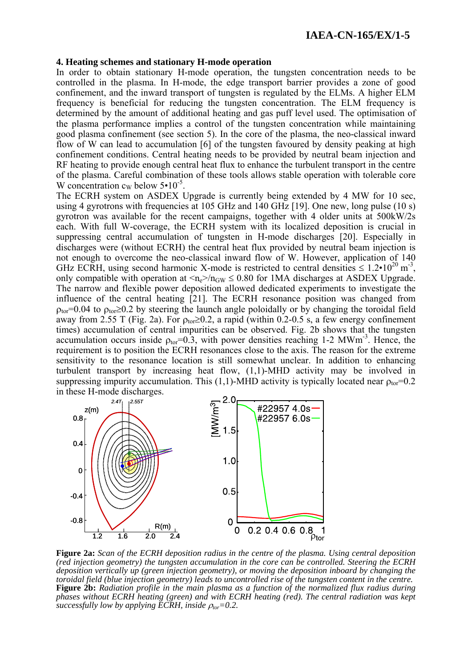### **4. Heating schemes and stationary H-mode operation**

In order to obtain stationary H-mode operation, the tungsten concentration needs to be controlled in the plasma. In H-mode, the edge transport barrier provides a zone of good confinement, and the inward transport of tungsten is regulated by the ELMs. A higher ELM frequency is beneficial for reducing the tungsten concentration. The ELM frequency is determined by the amount of additional heating and gas puff level used. The optimisation of the plasma performance implies a control of the tungsten concentration while maintaining good plasma confinement (see section 5). In the core of the plasma, the neo-classical inward flow of W can lead to accumulation [6] of the tungsten favoured by density peaking at high confinement conditions. Central heating needs to be provided by neutral beam injection and RF heating to provide enough central heat flux to enhance the turbulent transport in the centre of the plasma. Careful combination of these tools allows stable operation with tolerable core W concentration  $c_W$  below  $5 \cdot 10^{-5}$ .

The ECRH system on ASDEX Upgrade is currently being extended by 4 MW for 10 sec, using 4 gyrotrons with frequencies at 105 GHz and 140 GHz [19]. One new, long pulse (10 s) gyrotron was available for the recent campaigns, together with 4 older units at 500kW/2s each. With full W-coverage, the ECRH system with its localized deposition is crucial in suppressing central accumulation of tungsten in H-mode discharges [20]. Especially in discharges were (without ECRH) the central heat flux provided by neutral beam injection is not enough to overcome the neo-classical inward flow of W. However, application of 140 GHz ECRH, using second harmonic X-mode is restricted to central densities  $\leq 1.2 \cdot 10^{20}$  m<sup>-3</sup>, only compatible with operation at  $\langle n_e \rangle / n_{GW} \leq 0.80$  for 1MA discharges at ASDEX Upgrade. The narrow and flexible power deposition allowed dedicated experiments to investigate the influence of the central heating [21]. The ECRH resonance position was changed from  $\rho_{\text{tor}}$ =0.04 to  $\rho_{\text{tor}}$  ≥0.2 by steering the launch angle poloidally or by changing the toroidal field away from 2.55 T (Fig. 2a). For  $\rho_{\text{tor}} \ge 0.2$ , a rapid (within 0.2-0.5 s, a few energy confinement times) accumulation of central impurities can be observed. Fig. 2b shows that the tungsten accumulation occurs inside  $\rho_{\text{tor}}=0.3$ , with power densities reaching 1-2 MWm<sup>-3</sup>. Hence, the requirement is to position the ECRH resonances close to the axis. The reason for the extreme sensitivity to the resonance location is still somewhat unclear. In addition to enhancing turbulent transport by increasing heat flow, (1,1)-MHD activity may be involved in suppressing impurity accumulation. This (1,1)-MHD activity is typically located near  $\rho_{\text{tor}}=0.2$ in these H-mode discharges.



**Figure 2a:** *Scan of the ECRH deposition radius in the centre of the plasma. Using central deposition (red injection geometry) the tungsten accumulation in the core can be controlled. Steering the ECRH deposition vertically up (green injection geometry), or moving the deposition inboard by changing the toroidal field (blue injection geometry) leads to uncontrolled rise of the tungsten content in the centre.*  **Figure 2b:** *Radiation profile in the main plasma as a function of the normalized flux radius during phases without ECRH heating (green) and with ECRH heating (red). The central radiation was kept successfully low by applying ECRH, inside*  $\rho_{tor} = 0.2$ .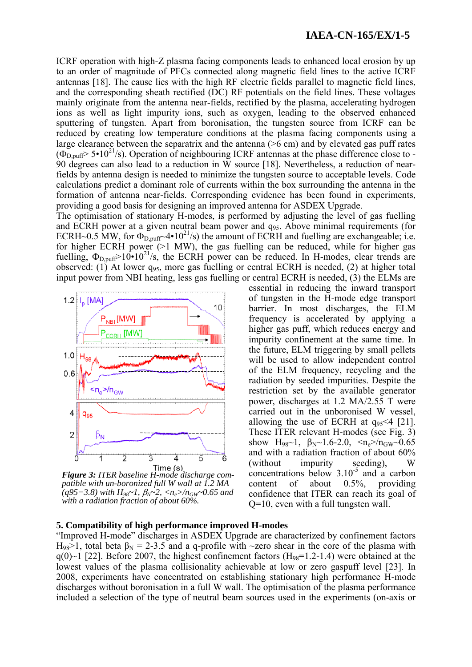ICRF operation with high-Z plasma facing components leads to enhanced local erosion by up to an order of magnitude of PFCs connected along magnetic field lines to the active ICRF antennas [18]. The cause lies with the high RF electric fields parallel to magnetic field lines, and the corresponding sheath rectified (DC) RF potentials on the field lines. These voltages mainly originate from the antenna near-fields, rectified by the plasma, accelerating hydrogen ions as well as light impurity ions, such as oxygen, leading to the observed enhanced sputtering of tungsten. Apart from boronisation, the tungsten source from ICRF can be reduced by creating low temperature conditions at the plasma facing components using a large clearance between the separatrix and the antenna (>6 cm) and by elevated gas puff rates  $(\Phi_{D,\text{nuff}} > 5 \cdot 10^{21} \text{/s})$ . Operation of neighbouring ICRF antennas at the phase difference close to -90 degrees can also lead to a reduction in W source [18]. Nevertheless, a reduction of nearfields by antenna design is needed to minimize the tungsten source to acceptable levels. Code calculations predict a dominant role of currents within the box surrounding the antenna in the formation of antenna near-fields. Corresponding evidence has been found in experiments, providing a good basis for designing an improved antenna for ASDEX Upgrade.

The optimisation of stationary H-modes, is performed by adjusting the level of gas fuelling and ECRH power at a given neutral beam power and q95. Above minimal requirements (for ECRH~0.5 MW, for  $\Phi_{D,puff}$ ~4•10<sup>21</sup>/s) the amount of ECRH and fuelling are exchangeable; i.e. for higher ECRH power (>1 MW), the gas fuelling can be reduced, while for higher gas fuelling,  $\Phi_{D,puff} > 10 \cdot 10^{21} / s$ , the ECRH power can be reduced. In H-modes, clear trends are observed:  $(1)$  At lower  $q_{95}$ , more gas fuelling or central ECRH is needed,  $(2)$  at higher total input power from NBI heating, less gas fuelling or central ECRH is needed, (3) the ELMs are



*Figure 3: ITER baseline H-mode discharge compatible with un-boronized full W wall at 1.2 MA (q95=3.8) with H98~1,* β*N~2, <ne>/nGW~0.65 and with a radiation fraction of about 60%.* 

essential in reducing the inward transport of tungsten in the H-mode edge transport barrier. In most discharges, the ELM frequency is accelerated by applying a higher gas puff, which reduces energy and impurity confinement at the same time. In the future, ELM triggering by small pellets will be used to allow independent control of the ELM frequency, recycling and the radiation by seeded impurities. Despite the restriction set by the available generator power, discharges at 1.2 MA/2.55 T were carried out in the unboronised W vessel, allowing the use of ECRH at  $q_{95}$  <4 [21]. These ITER relevant H-modes (see Fig. 3) show H<sub>98</sub>~1,  $\beta_{N}$ ~1.6-2.0,  $\langle n_e \rangle / n_{GW}$ ~0.65 and with a radiation fraction of about 60% (without impurity seeding), W concentrations below  $3.10^{-5}$  and a carbon content of about 0.5%, providing confidence that ITER can reach its goal of Q=10, even with a full tungsten wall.

### **5. Compatibility of high performance improved H-modes**

"Improved H-mode" discharges in ASDEX Upgrade are characterized by confinement factors H<sub>98</sub>>1, total beta  $\beta_N = 2-3.5$  and a q-profile with ~zero shear in the core of the plasma with  $q(0)$ ~1 [22]. Before 2007, the highest confinement factors (H<sub>98</sub>=1.2-1.4) were obtained at the lowest values of the plasma collisionality achievable at low or zero gaspuff level [23]. In 2008, experiments have concentrated on establishing stationary high performance H-mode discharges without boronisation in a full W wall. The optimisation of the plasma performance included a selection of the type of neutral beam sources used in the experiments (on-axis or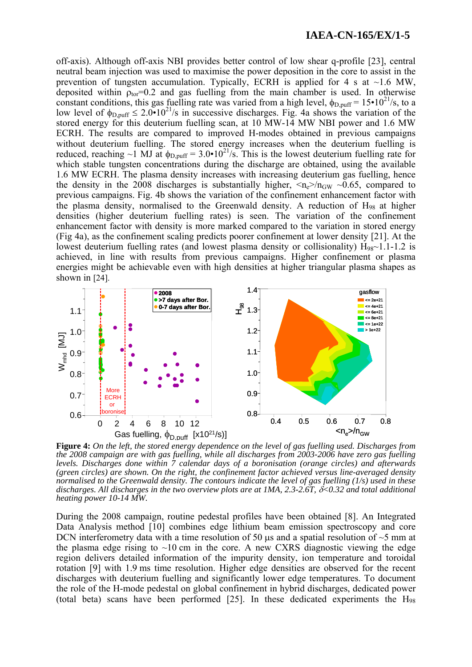off-axis). Although off-axis NBI provides better control of low shear q-profile [23], central neutral beam injection was used to maximise the power deposition in the core to assist in the prevention of tungsten accumulation. Typically, ECRH is applied for 4 s at  $\sim$ 1.6 MW, deposited within  $\rho_{\text{tor}}=0.2$  and gas fuelling from the main chamber is used. In otherwise constant conditions, this gas fuelling rate was varied from a high level,  $\phi_{D,puff} = 15 \cdot 10^{21}$ /s, to a low level of  $\phi_{D,puff} \leq 2.0 \cdot 10^{21}$ /s in successive discharges. Fig. 4a shows the variation of the stored energy for this deuterium fuelling scan, at 10 MW-14 MW NBI power and 1.6 MW ECRH. The results are compared to improved H-modes obtained in previous campaigns without deuterium fuelling. The stored energy increases when the deuterium fuelling is reduced, reaching ~1 MJ at  $\phi_{D,\text{nuff}} = 3.0 \cdot 10^{21} / s$ . This is the lowest deuterium fuelling rate for which stable tungsten concentrations during the discharge are obtained, using the available 1.6 MW ECRH. The plasma density increases with increasing deuterium gas fuelling, hence the density in the 2008 discharges is substantially higher,  $\langle n_e \rangle / n_{GW} \sim 0.65$ , compared to previous campaigns. Fig. 4b shows the variation of the confinement enhancement factor with the plasma density, normalised to the Greenwald density. A reduction of H98 at higher densities (higher deuterium fuelling rates) is seen. The variation of the confinement enhancement factor with density is more marked compared to the variation in stored energy (Fig 4a), as the confinement scaling predicts poorer confinement at lower density [21]. At the lowest deuterium fuelling rates (and lowest plasma density or collisionality)  $H_{98}$ ~1.1-1.2 is achieved, in line with results from previous campaigns. Higher confinement or plasma energies might be achievable even with high densities at higher triangular plasma shapes as shown in [24].



**Figure 4:** *On the left, the stored energy dependence on the level of gas fuelling used. Discharges from the 2008 campaign are with gas fuelling, while all discharges from 2003-2006 have zero gas fuelling levels. Discharges done within 7 calendar days of a boronisation (orange circles) and afterwards (green circles) are shown. On the right, the confinement factor achieved versus line-averaged density normalised to the Greenwald density. The contours indicate the level of gas fuelling (1/s) used in these discharges. All discharges in the two overview plots are at 1MA, 2.3-2.6T,* δ*<0.32 and total additional heating power 10-14 MW.* 

During the 2008 campaign, routine pedestal profiles have been obtained [8]. An Integrated Data Analysis method [10] combines edge lithium beam emission spectroscopy and core DCN interferometry data with a time resolution of 50 μs and a spatial resolution of  $\sim$ 5 mm at the plasma edge rising to  $\sim 10$  cm in the core. A new CXRS diagnostic viewing the edge region delivers detailed information of the impurity density, ion temperature and toroidal rotation [9] with 1.9 ms time resolution. Higher edge densities are observed for the recent discharges with deuterium fuelling and significantly lower edge temperatures. To document the role of the H-mode pedestal on global confinement in hybrid discharges, dedicated power (total beta) scans have been performed  $[25]$ . In these dedicated experiments the  $H_{98}$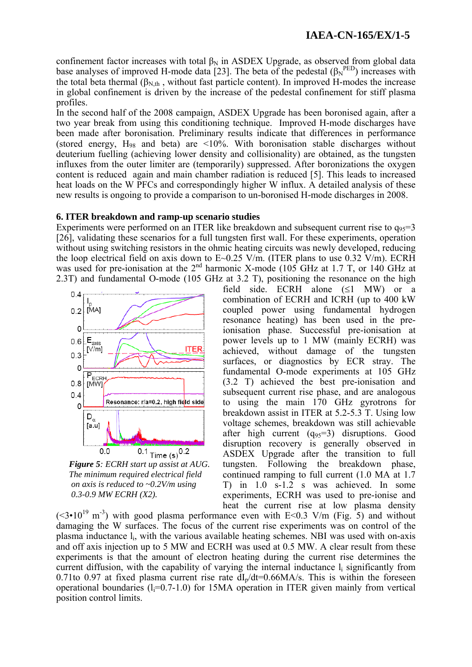confinement factor increases with total  $\beta_N$  in ASDEX Upgrade, as observed from global data base analyses of improved H-mode data [23]. The beta of the pedestal  $(\beta_N^{\text{PED}})$  increases with the total beta thermal ( $\beta_{N,th}$ , without fast particle content). In improved H-modes the increase in global confinement is driven by the increase of the pedestal confinement for stiff plasma profiles.

In the second half of the 2008 campaign, ASDEX Upgrade has been boronised again, after a two year break from using this conditioning technique. Improved H-mode discharges have been made after boronisation. Preliminary results indicate that differences in performance (stored energy,  $H_{98}$  and beta) are <10%. With boronisation stable discharges without deuterium fuelling (achieving lower density and collisionality) are obtained, as the tungsten influxes from the outer limiter are (temporarily) suppressed. After boronizations the oxygen content is reduced again and main chamber radiation is reduced [5]. This leads to increased heat loads on the W PFCs and correspondingly higher W influx. A detailed analysis of these new results is ongoing to provide a comparison to un-boronised H-mode discharges in 2008.

### **6. ITER breakdown and ramp-up scenario studies**

Experiments were performed on an ITER like breakdown and subsequent current rise to  $q_{95}=3$ [26], validating these scenarios for a full tungsten first wall. For these experiments, operation without using switching resistors in the ohmic heating circuits was newly developed, reducing the loop electrical field on axis down to  $E \sim 0.25$  V/m. (ITER plans to use 0.32 V/m). ECRH was used for pre-ionisation at the 2<sup>nd</sup> harmonic X-mode (105 GHz at 1.7 T, or 140 GHz at 2.3T) and fundamental O-mode (105 GHz at 3.2 T), positioning the resonance on the high



*Figure 5: ECRH start up assist at AUG. The minimum required electrical field on axis is reduced to ~0.2V/m using 0.3-0.9 MW ECRH (X2).* 

field side. ECRH alone (≤1 MW) or a combination of ECRH and ICRH (up to 400 kW coupled power using fundamental hydrogen resonance heating) has been used in the preionisation phase. Successful pre-ionisation at power levels up to 1 MW (mainly ECRH) was achieved, without damage of the tungsten surfaces, or diagnostics by ECR stray. The fundamental O-mode experiments at 105 GHz (3.2 T) achieved the best pre-ionisation and subsequent current rise phase, and are analogous to using the main 170 GHz gyrotrons for breakdown assist in ITER at 5.2-5.3 T. Using low voltage schemes, breakdown was still achievable after high current  $(q_{95}=3)$  disruptions. Good disruption recovery is generally observed in ASDEX Upgrade after the transition to full tungsten. Following the breakdown phase, continued ramping to full current (1.0 MA at 1.7 T) in 1.0 s-1.2 s was achieved. In some experiments, ECRH was used to pre-ionise and heat the current rise at low plasma density

 $(<3 \cdot 10^{19} \text{ m}^3)$  with good plasma performance even with E $< 0.3$  V/m (Fig. 5) and without damaging the W surfaces. The focus of the current rise experiments was on control of the plasma inductance li, with the various available heating schemes. NBI was used with on-axis and off axis injection up to 5 MW and ECRH was used at 0.5 MW. A clear result from these experiments is that the amount of electron heating during the current rise determines the current diffusion, with the capability of varying the internal inductance  $l_i$  significantly from 0.71to 0.97 at fixed plasma current rise rate  $dI<sub>n</sub>/dt=0.66MA/s$ . This is within the foreseen operational boundaries  $(l=0.7-1.0)$  for 15MA operation in ITER given mainly from vertical position control limits.